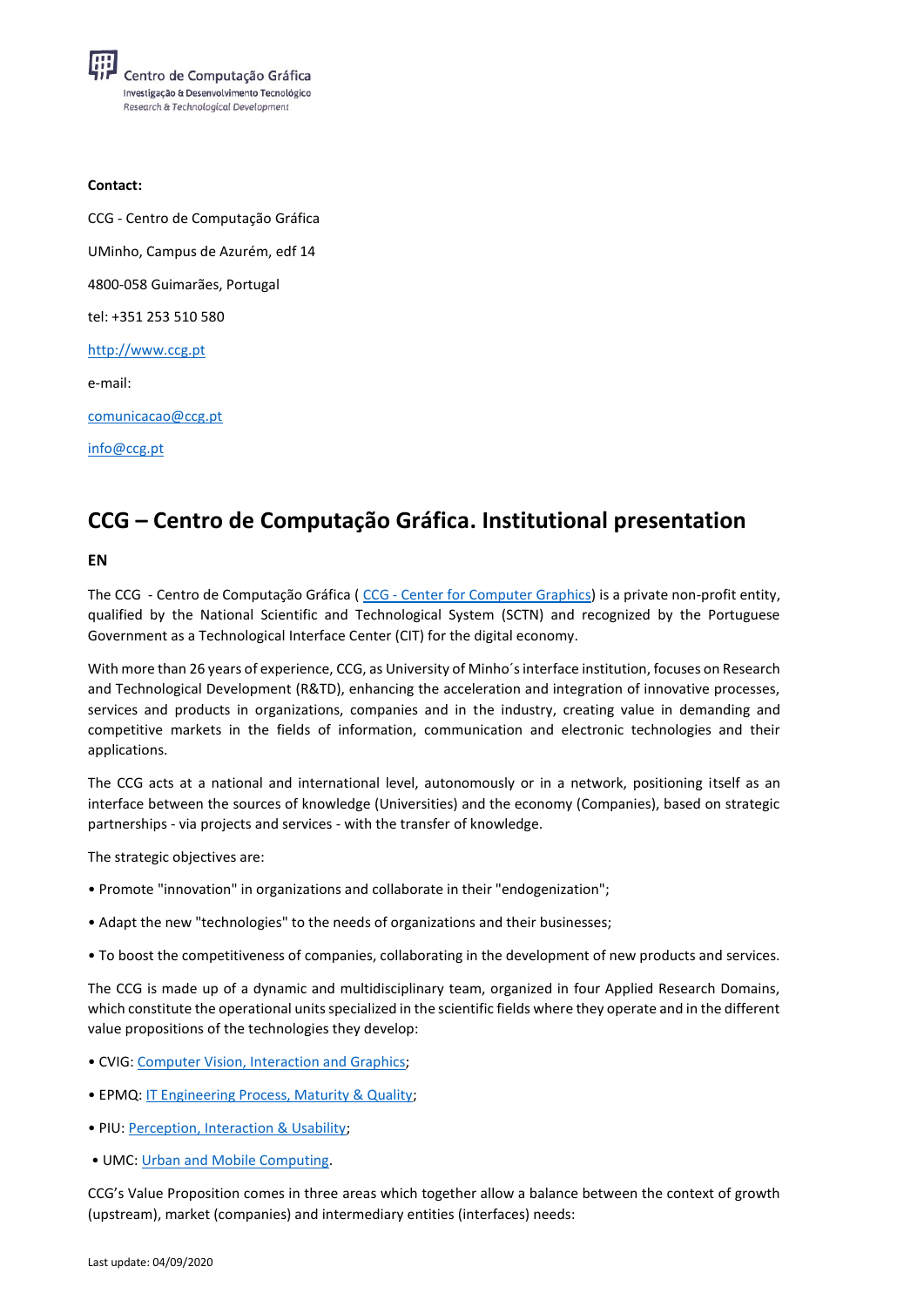## **Contact:**

CCG - Centro de Computação Gráfica UMinho, Campus de Azurém, edf 14 4800-058 Guimarães, Portugal tel: +351 253 510 580 [http://www.ccg.pt](http://www.ccg.pt/) e-mail: [comunicacao@ccg.pt](mailto:comunicacao@ccg.pt) [info@ccg.pt](mailto:info@ccg.pt)

## **CCG – Centro de Computação Gráfica. Institutional presentation**

## **EN**

The CCG - Centro de Computação Gráfica ( CCG - Center [for Computer Graphics\)](http://www.ccg.pt/?lang=en) is a private non-profit entity, qualified by the National Scientific and Technological System (SCTN) and recognized by the Portuguese Government as a Technological Interface Center (CIT) for the digital economy.

With more than 26 years of experience, CCG, as University of Minho´s interface institution, focuses on Research and Technological Development (R&TD), enhancing the acceleration and integration of innovative processes, services and products in organizations, companies and in the industry, creating value in demanding and competitive markets in the fields of information, communication and electronic technologies and their applications.

The CCG acts at a national and international level, autonomously or in a network, positioning itself as an interface between the sources of knowledge (Universities) and the economy (Companies), based on strategic partnerships - via projects and services - with the transfer of knowledge.

The strategic objectives are:

- Promote "innovation" in organizations and collaborate in their "endogenization";
- Adapt the new "technologies" to the needs of organizations and their businesses;
- To boost the competitiveness of companies, collaborating in the development of new products and services.

The CCG is made up of a dynamic and multidisciplinary team, organized in four Applied Research Domains, which constitute the operational units specialized in the scientific fields where they operate and in the different value propositions of the technologies they develop:

- CVIG: [Computer Vision, Interaction and Graphics;](http://www.ccg.pt/domains/presentation-2/?lang=en)
- EPMQ: [IT Engineering Process, Maturity & Quality;](http://www.ccg.pt/domains/epmq-presentation/?lang=en)
- PIU: [Perception, Interaction & Usability;](http://www.ccg.pt/domains/piu-presentation/?lang=en)
- UMC: [Urban and Mobile Computing.](http://www.ccg.pt/domains/umc-presentation/?lang=en)

CCG's Value Proposition comes in three areas which together allow a balance between the context of growth (upstream), market (companies) and intermediary entities (interfaces) needs: